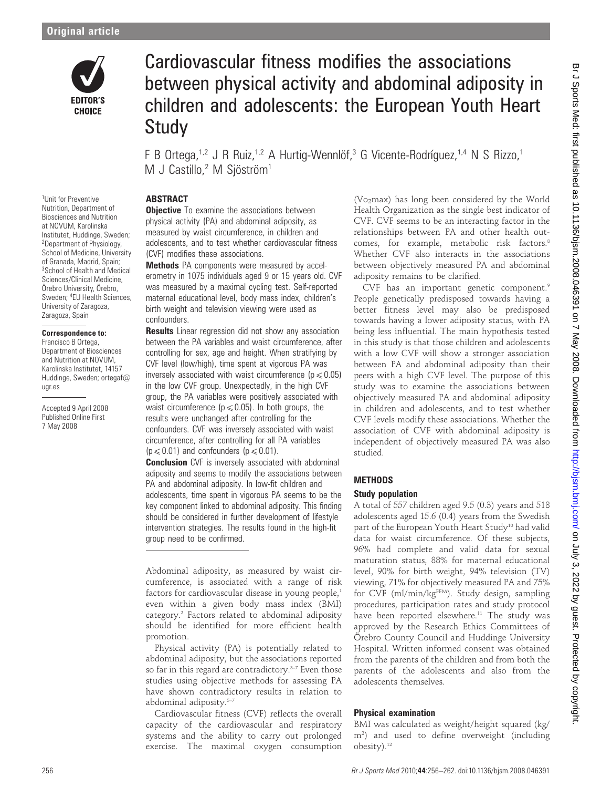

# Cardiovascular fitness modifies the associations between physical activity and abdominal adiposity in children and adolescents: the European Youth Heart Study

F B Ortega,<sup>1,2</sup> J R Ruiz,<sup>1,2</sup> A Hurtig-Wennlöf,<sup>3</sup> G Vicente-Rodríguez,<sup>1,4</sup> N S Rizzo,<sup>1</sup> M J Castillo,<sup>2</sup> M Sjöström<sup>1</sup>

## ABSTRACT

physical activity (PA) and abdominal adiposity, as measured by waist circumference, in children and adolescents, and to test whether cardiovascular fitness (CVF) modifies these associations. **Objective** To examine the associations between

erometry in 1075 individuals aged 9 or 15 years old. CVF was measured by a maximal cycling test. Self-reported maternal educational level, body mass index, children's birth weight and television viewing were used as confounders. Methods PA components were measured by accel-

between the PA variables and waist circumference, after controlling for sex, age and height. When stratifying by CVF level (low/high), time spent at vigorous PA was inversely associated with waist circumference ( $p\leq 0.05$ ) in the low CVF group. Unexpectedly, in the high CVF group, the PA variables were positively associated with waist circumference ( $p \le 0.05$ ). In both groups, the results were unchanged after controlling for the confounders. CVF was inversely associated with waist circumference, after controlling for all PA variables  $(p\leq 0.01)$  and confounders  $(p\leq 0.01)$ . **Results** Linear regression did not show any association

adiposity and seems to modify the associations between PA and abdominal adiposity. In low-fit children and adolescents, time spent in vigorous PA seems to be the key component linked to abdominal adiposity. This finding should be considered in further development of lifestyle intervention strategies. The results found in the high-fit group need to be confirmed. **Conclusion** CVF is inversely associated with abdominal

Abdominal adiposity, as measured by waist circumference, is associated with a range of risk factors for cardiovascular disease in young people,<sup>1</sup> even within a given body mass index (BMI) category.2 Factors related to abdominal adiposity should be identified for more efficient health promotion.

Physical activity (PA) is potentially related to abdominal adiposity, but the associations reported so far in this regard are contradictory.<sup>3-7</sup> Even those studies using objective methods for assessing PA have shown contradictory results in relation to abdominal adiposity.<sup>5-7</sup>

Cardiovascular fitness (CVF) reflects the overall capacity of the cardiovascular and respiratory systems and the ability to carry out prolonged exercise. The maximal oxygen consumption (Vo<sub>2</sub>max) has long been considered by the World Health Organization as the single best indicator of CVF. CVF seems to be an interacting factor in the relationships between PA and other health outcomes, for example, metabolic risk factors.<sup>8</sup> Whether CVF also interacts in the associations between objectively measured PA and abdominal adiposity remains to be clarified.

CVF has an important genetic component.<sup>9</sup> People genetically predisposed towards having a better fitness level may also be predisposed towards having a lower adiposity status, with PA being less influential. The main hypothesis tested in this study is that those children and adolescents with a low CVF will show a stronger association between PA and abdominal adiposity than their peers with a high CVF level. The purpose of this study was to examine the associations between objectively measured PA and abdominal adiposity in children and adolescents, and to test whether CVF levels modify these associations. Whether the association of CVF with abdominal adiposity is independent of objectively measured PA was also studied.

## **METHODS**

## Study population

A total of 557 children aged 9.5 (0.3) years and 518 adolescents aged 15.6 (0.4) years from the Swedish part of the European Youth Heart Study<sup>10</sup> had valid data for waist circumference. Of these subjects, 96% had complete and valid data for sexual maturation status, 88% for maternal educational level, 90% for birth weight, 94% television (TV) viewing, 71% for objectively measured PA and 75% for CVF (ml/min/kgFFM). Study design, sampling procedures, participation rates and study protocol have been reported elsewhere.<sup>11</sup> The study was approved by the Research Ethics Committees of Örebro County Council and Huddinge University Hospital. Written informed consent was obtained from the parents of the children and from both the parents of the adolescents and also from the adolescents themselves. Osmanno and the continuum of the continuum of the continuum of the continuum of the continuum of the continuum of the continuum of the continuum of the continuum of the continuum of the continuum of the continuum of the

## Physical examination

BMI was calculated as weight/height squared (kg/ m2 ) and used to define overweight (including obesity).12

1 Unit for Preventive Nutrition, Department of Biosciences and Nutrition at NOVUM, Karolinska Institutet, Huddinge, Sweden; 2Department of Physiology, School of Medicine, University of Granada, Madrid, Spain; 3School of Health and Medical Sciences/Clinical Medicine, Örebro University, Örebro, Sweden; 4EU Health Sciences, University of Zaragoza, Zaragoza, Spain

#### **Correspondence to:**

Francisco B Ortega, Department of Biosciences and Nutrition at NOVUM, Karolinska Institutet, 14157 Huddinge, Sweden; ortegaf@ ugr.es

Accepted 9 April 2008 Published Online First 7 May 2008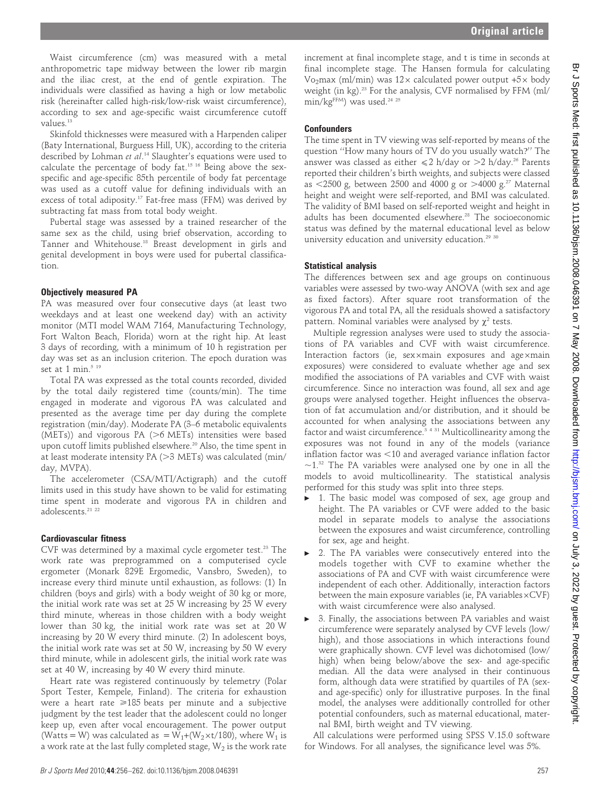Waist circumference (cm) was measured with a metal anthropometric tape midway between the lower rib margin and the iliac crest, at the end of gentle expiration. The individuals were classified as having a high or low metabolic risk (hereinafter called high-risk/low-risk waist circumference), according to sex and age-specific waist circumference cutoff values.<sup>13</sup>

Skinfold thicknesses were measured with a Harpenden caliper (Baty International, Burguess Hill, UK), according to the criteria described by Lohman et al.<sup>14</sup> Slaughter's equations were used to calculate the percentage of body fat.15 16 Being above the sexspecific and age-specific 85th percentile of body fat percentage was used as a cutoff value for defining individuals with an excess of total adiposity.17 Fat-free mass (FFM) was derived by subtracting fat mass from total body weight.

Pubertal stage was assessed by a trained researcher of the same sex as the child, using brief observation, according to Tanner and Whitehouse.18 Breast development in girls and genital development in boys were used for pubertal classification.

#### Objectively measured PA

PA was measured over four consecutive days (at least two weekdays and at least one weekend day) with an activity monitor (MTI model WAM 7164, Manufacturing Technology, Fort Walton Beach, Florida) worn at the right hip. At least 3 days of recording, with a minimum of 10 h registration per day was set as an inclusion criterion. The epoch duration was set at 1 min. $519$ 

Total PA was expressed as the total counts recorded, divided by the total daily registered time (counts/min). The time engaged in moderate and vigorous PA was calculated and presented as the average time per day during the complete registration (min/day). Moderate PA (3–6 metabolic equivalents (METs)) and vigorous PA ( $>6$  METs) intensities were based upon cutoff limits published elsewhere.<sup>20</sup> Also, the time spent in at least moderate intensity PA  $(>3$  METs) was calculated (min/ day, MVPA).

The accelerometer (CSA/MTI/Actigraph) and the cutoff limits used in this study have shown to be valid for estimating time spent in moderate and vigorous PA in children and adolescents.<sup>21</sup><sup>22</sup>

#### Cardiovascular fitness

CVF was determined by a maximal cycle ergometer test.<sup>23</sup> The work rate was preprogrammed on a computerised cycle ergometer (Monark 829E Ergomedic, Vansbro, Sweden), to increase every third minute until exhaustion, as follows: (1) In children (boys and girls) with a body weight of 30 kg or more, the initial work rate was set at 25 W increasing by 25 W every third minute, whereas in those children with a body weight lower than 30 kg, the initial work rate was set at 20 W increasing by 20 W every third minute. (2) In adolescent boys, the initial work rate was set at 50 W, increasing by 50 W every third minute, while in adolescent girls, the initial work rate was set at 40 W, increasing by 40 W every third minute.

Heart rate was registered continuously by telemetry (Polar Sport Tester, Kempele, Finland). The criteria for exhaustion were a heart rate  $\geq 185$  beats per minute and a subjective judgment by the test leader that the adolescent could no longer keep up, even after vocal encouragement. The power output (Watts = W) was calculated as =  $W_1+(W_2\times t/180)$ , where  $W_1$  is a work rate at the last fully completed stage,  $W_2$  is the work rate increment at final incomplete stage, and t is time in seconds at final incomplete stage. The Hansen formula for calculating Vo<sub>2</sub>max (ml/min) was  $12 \times$  calculated power output +5 $\times$  body weight (in kg).<sup>23</sup> For the analysis, CVF normalised by FFM (ml/  $min/kg<sup>FFM</sup>$  was used.<sup>24 25</sup>

### **Confounders**

The time spent in TV viewing was self-reported by means of the question ''How many hours of TV do you usually watch?'' The answer was classed as either  $\leq 2$  h/day or  $>2$  h/day.<sup>26</sup> Parents reported their children's birth weights, and subjects were classed as  $\lt 2500$  g, between 2500 and 4000 g or  $>4000$  g.<sup>27</sup> Maternal height and weight were self-reported, and BMI was calculated. The validity of BMI based on self-reported weight and height in adults has been documented elsewhere.<sup>28</sup> The socioeconomic status was defined by the maternal educational level as below university education and university education.<sup>29 30</sup>

#### Statistical analysis

The differences between sex and age groups on continuous variables were assessed by two-way ANOVA (with sex and age as fixed factors). After square root transformation of the vigorous PA and total PA, all the residuals showed a satisfactory pattern. Nominal variables were analysed by  $\chi^2$  tests.

Multiple regression analyses were used to study the associations of PA variables and CVF with waist circumference. Interaction factors (ie, sex $\times$ main exposures and age $\times$ main exposures) were considered to evaluate whether age and sex modified the associations of PA variables and CVF with waist circumference. Since no interaction was found, all sex and age groups were analysed together. Height influences the observation of fat accumulation and/or distribution, and it should be accounted for when analysing the associations between any factor and waist circumference.<sup>3 4 31</sup> Multicollinearity among the exposures was not found in any of the models (variance inflation factor was  $<$ 10 and averaged variance inflation factor  $\sim$ 1.<sup>32</sup> The PA variables were analysed one by one in all the models to avoid multicollinearity. The statistical analysis performed for this study was split into three steps. 08.index in the control of the small of the small of the small of the small of the small of the small of the small of the small of the small of the small of the small of the small of the small of the small of the small o

- $\blacktriangleright$  1. The basic model was composed of sex, age group and height. The PA variables or CVF were added to the basic model in separate models to analyse the associations between the exposures and waist circumference, controlling for sex, age and height.
- 2. The PA variables were consecutively entered into the models together with CVF to examine whether the associations of PA and CVF with waist circumference were independent of each other. Additionally, interaction factors between the main exposure variables (ie, PA variables $\times$ CVF) with waist circumference were also analysed.
- 3. Finally, the associations between PA variables and waist circumference were separately analysed by CVF levels (low/ high), and those associations in which interactions found were graphically shown. CVF level was dichotomised (low/ high) when being below/above the sex- and age-specific median. All the data were analysed in their continuous form, although data were stratified by quartiles of PA (sexand age-specific) only for illustrative purposes. In the final model, the analyses were additionally controlled for other potential confounders, such as maternal educational, maternal BMI, birth weight and TV viewing.

All calculations were performed using SPSS V.15.0 software for Windows. For all analyses, the significance level was 5%.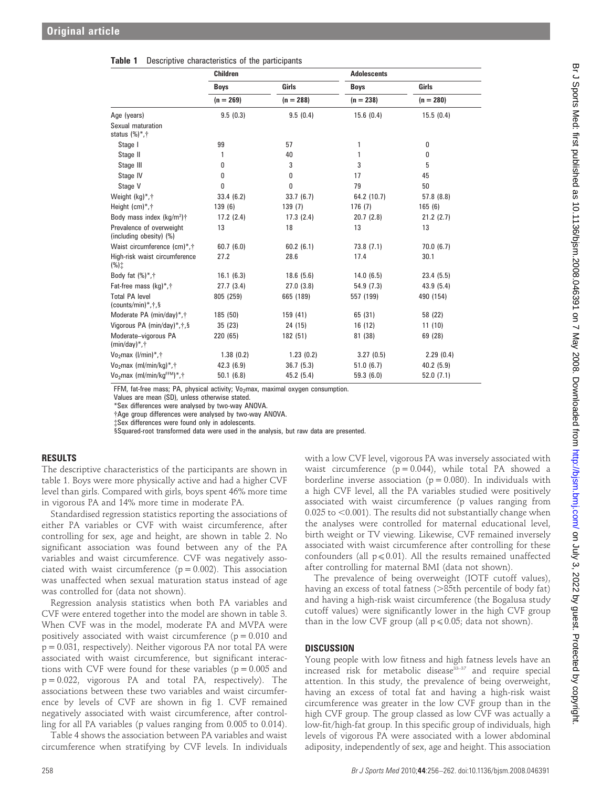| Table 1                          | Descriptive characteristics of the participants |             |                    |             |
|----------------------------------|-------------------------------------------------|-------------|--------------------|-------------|
|                                  | <b>Children</b>                                 |             | <b>Adolescents</b> |             |
|                                  | <b>Boys</b>                                     | Girls       | <b>Boys</b>        | Girls       |
|                                  | $(n = 269)$                                     | $(n = 288)$ | $(n = 238)$        | $(n = 280)$ |
| Age (years)<br>Covual maturation | 9.5(0.3)                                        | 9.5(0.4)    | 15.6(0.4)          | 15.5(0.4)   |

|                |                                                                                                                                                                                                                                                         | <b>Children</b>        |                        | <b>Adolescents</b>     |                                                                                                                                                                                                    |  |
|----------------|---------------------------------------------------------------------------------------------------------------------------------------------------------------------------------------------------------------------------------------------------------|------------------------|------------------------|------------------------|----------------------------------------------------------------------------------------------------------------------------------------------------------------------------------------------------|--|
|                |                                                                                                                                                                                                                                                         | <b>Boys</b>            | Girls                  | Boys                   | Girls                                                                                                                                                                                              |  |
|                |                                                                                                                                                                                                                                                         | $(n = 269)$            | $(n = 288)$            | $(n = 238)$            | $(n = 280)$                                                                                                                                                                                        |  |
|                | Age (years)<br>Sexual maturation<br>status $(\%)^*, \dagger$                                                                                                                                                                                            | 9.5(0.3)               | 9.5(0.4)               | 15.6(0.4)              | 15.5(0.4)                                                                                                                                                                                          |  |
|                | Stage I<br>Stage II                                                                                                                                                                                                                                     | 99<br>1                | 57<br>40               | 1<br>1                 | 0<br>$\pmb{0}$                                                                                                                                                                                     |  |
|                | Stage III                                                                                                                                                                                                                                               | 0                      | 3                      | 3                      | 5                                                                                                                                                                                                  |  |
|                | Stage IV                                                                                                                                                                                                                                                | 0                      | 0                      | 17                     | 45                                                                                                                                                                                                 |  |
|                | Stage V<br>Weight (kg)*,†                                                                                                                                                                                                                               | 0<br>33.4(6.2)         | $\pmb{0}$<br>33.7(6.7) | 79<br>64.2 (10.7)      | 50<br>57.8 (8.8)                                                                                                                                                                                   |  |
|                | Height (cm)*,†                                                                                                                                                                                                                                          | 139 (6)                | 139(7)                 | 176(7)                 | 165(6)                                                                                                                                                                                             |  |
|                | Body mass index (kg/m <sup>2</sup> ) <sup>†</sup>                                                                                                                                                                                                       | 17.2(2.4)              | 17.3(2.4)              | 20.7(2.8)              | 21.2(2.7)                                                                                                                                                                                          |  |
|                | Prevalence of overweight<br>(including obesity) (%)                                                                                                                                                                                                     | 13                     | 18                     | 13                     | 13                                                                                                                                                                                                 |  |
|                | Waist circumference (cm)*,†<br>High-risk waist circumference                                                                                                                                                                                            | 60.7(6.0)<br>27.2      | 60.2(6.1)<br>28.6      | 73.8(7.1)<br>17.4      | 70.0(6.7)<br>30.1                                                                                                                                                                                  |  |
|                | $(%)$ $\dagger$                                                                                                                                                                                                                                         |                        |                        |                        |                                                                                                                                                                                                    |  |
|                | Body fat $(\%)^*$ , $\dagger$                                                                                                                                                                                                                           | 16.1(6.3)              | 18.6(5.6)              | 14.0(6.5)              | 23.4(5.5)                                                                                                                                                                                          |  |
|                | Fat-free mass (kg)*,†                                                                                                                                                                                                                                   | 27.7(3.4)              | 27.0(3.8)              | 54.9 (7.3)             | 43.9(5.4)                                                                                                                                                                                          |  |
|                | <b>Total PA level</b><br>$(counts/min)*$ , †, §<br>Moderate PA (min/day)*,†                                                                                                                                                                             | 805 (259)<br>185 (50)  | 665 (189)<br>159 (41)  | 557 (199)<br>65 (31)   | 490 (154)<br>58 (22)                                                                                                                                                                               |  |
|                | Vigorous PA (min/day)*, †, §                                                                                                                                                                                                                            | 35 (23)                | 24 (15)                | 16 (12)                | 11(10)                                                                                                                                                                                             |  |
|                | Moderate-vigorous PA<br>$(min/day)*,†$                                                                                                                                                                                                                  | 220 (65)               | 182 (51)               | 81 (38)                | 69 (28)                                                                                                                                                                                            |  |
|                | Vo <sub>2</sub> max ( $l/min$ )*,†                                                                                                                                                                                                                      | 1.38(0.2)              | 1.23(0.2)              | 3.27(0.5)              | 2.29(0.4)                                                                                                                                                                                          |  |
|                | Vo <sub>2</sub> max (ml/min/kg)*,†<br>Vo <sub>2</sub> max (ml/min/kgFFM)*,†                                                                                                                                                                             | 42.3(6.9)<br>50.1(6.8) | 36.7(5.3)<br>45.2(5.4) | 51.0(6.7)<br>59.3(6.0) | 40.2(5.9)<br>52.0(7.1)                                                                                                                                                                             |  |
| <b>RESULTS</b> | *Sex differences were analysed by two-way ANOVA.<br>†Age group differences were analysed by two-way ANOVA.<br>‡Sex differences were found only in adolescents.<br>§Squared-root transformed data were used in the analysis, but raw data are presented. |                        |                        |                        | with a low CVF level, vigorous PA was inversely associated with                                                                                                                                    |  |
|                | The descriptive characteristics of the participants are shown in<br>table 1. Boys were more physically active and had a higher CVF                                                                                                                      |                        |                        |                        | waist circumference $(p = 0.044)$ , while total PA showed a<br>borderline inverse association ( $p = 0.080$ ). In individuals with                                                                 |  |
|                | level than girls. Compared with girls, boys spent 46% more time<br>in vigorous PA and 14% more time in moderate PA.<br>Standardised regression statistics reporting the associations of                                                                 |                        |                        |                        | a high CVF level, all the PA variables studied were positively<br>associated with waist circumference (p values ranging from<br>0.025 to <0.001). The results did not substantially change when    |  |
|                | either PA variables or CVF with waist circumference, after                                                                                                                                                                                              |                        |                        |                        | the analyses were controlled for maternal educational level,                                                                                                                                       |  |
|                | controlling for sex, age and height, are shown in table 2. No                                                                                                                                                                                           |                        |                        |                        | birth weight or TV viewing. Likewise, CVF remained inversely                                                                                                                                       |  |
|                | significant association was found between any of the PA                                                                                                                                                                                                 |                        |                        |                        | associated with waist circumference after controlling for these                                                                                                                                    |  |
|                | variables and waist circumference. CVF was negatively asso-                                                                                                                                                                                             |                        |                        |                        | confounders (all $p \le 0.01$ ). All the results remained unaffected<br>after controlling for maternal BMI (data not shown).                                                                       |  |
|                | ciated with waist circumference ( $p = 0.002$ ). This association<br>was unaffected when sexual maturation status instead of age                                                                                                                        |                        |                        |                        | The prevalence of being overweight (IOTF cutoff values),                                                                                                                                           |  |
|                | was controlled for (data not shown).                                                                                                                                                                                                                    |                        |                        |                        | having an excess of total fatness (>85th percentile of body fat)                                                                                                                                   |  |
|                | Regression analysis statistics when both PA variables and                                                                                                                                                                                               |                        |                        |                        | and having a high-risk waist circumference (the Bogalusa study                                                                                                                                     |  |
|                | CVF were entered together into the model are shown in table 3.                                                                                                                                                                                          |                        |                        |                        | cutoff values) were significantly lower in the high CVF group                                                                                                                                      |  |
|                | When CVF was in the model, moderate PA and MVPA were                                                                                                                                                                                                    |                        |                        |                        | than in the low CVF group (all $p \le 0.05$ ; data not shown).                                                                                                                                     |  |
|                | positively associated with waist circumference ( $p = 0.010$ and                                                                                                                                                                                        |                        |                        |                        |                                                                                                                                                                                                    |  |
|                | $p = 0.031$ , respectively). Neither vigorous PA nor total PA were                                                                                                                                                                                      |                        |                        | <b>DISCUSSION</b>      |                                                                                                                                                                                                    |  |
|                | associated with waist circumference, but significant interac-<br>tions with CVF were found for these variables ( $p = 0.005$ and                                                                                                                        |                        |                        |                        | Young people with low fitness and high fatness levels have an<br>increased risk for metabolic disease <sup>33-37</sup> and require special                                                         |  |
|                | $p = 0.022$ , vigorous PA and total PA, respectively). The                                                                                                                                                                                              |                        |                        |                        | attention. In this study, the prevalence of being overweight,                                                                                                                                      |  |
|                | associations between these two variables and waist circumfer-<br>ence by levels of CVF are shown in fig 1. CVF remained                                                                                                                                 |                        |                        |                        | having an excess of total fat and having a high-risk waist<br>circumference was greater in the low CVF group than in the                                                                           |  |
|                | negatively associated with waist circumference, after control-<br>ling for all PA variables (p values ranging from 0.005 to 0.014).<br>Table 4 shows the association between PA variables and waist                                                     |                        |                        |                        | high CVF group. The group classed as low CVF was actually a<br>low-fit/high-fat group. In this specific group of individuals, high<br>levels of vigorous PA were associated with a lower abdominal |  |
|                | circumference when stratifying by CVF levels. In individuals                                                                                                                                                                                            |                        |                        |                        | adiposity, independently of sex, age and height. This association                                                                                                                                  |  |

### RESULTS

#### **DISCUSSION**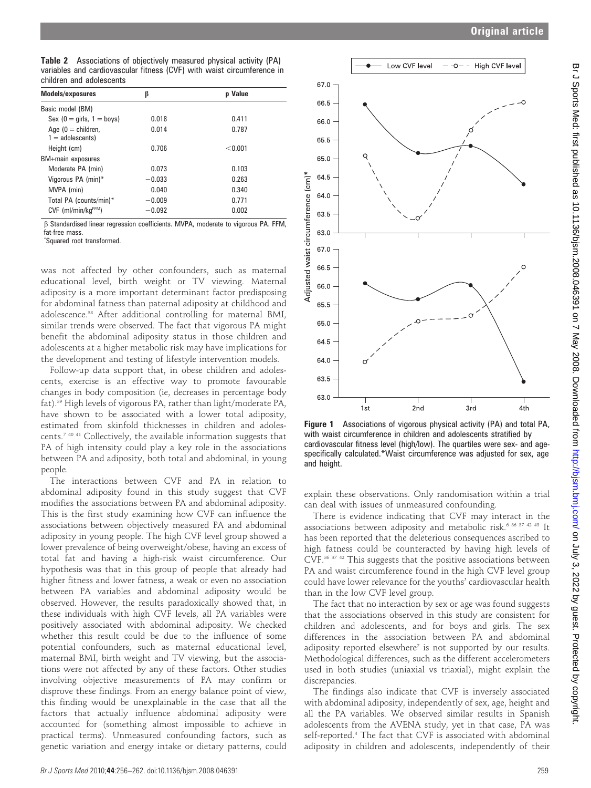Table 2 Associations of objectively measured physical activity (PA) variables and cardiovascular fitness (CVF) with waist circumference in children and adolescents

| <b>Models/exposures</b>                    | β        | p Value |
|--------------------------------------------|----------|---------|
| Basic model (BM)                           |          |         |
| Sex $(0 = \text{qirls}, 1 = \text{boys})$  | 0.018    | 0.411   |
| Age $(0 =$ children,<br>$1 =$ adolescents) | 0.014    | 0.787   |
| Height (cm)                                | 0.706    | < 0.001 |
| BM+main exposures                          |          |         |
| Moderate PA (min)                          | 0.073    | 0.103   |
| Vigorous PA (min)*                         | $-0.033$ | 0.263   |
| MVPA (min)                                 | 0.040    | 0.340   |
| Total PA (counts/min)*                     | $-0.009$ | 0.771   |
| $CVF$ (ml/min/kg <sup>FFM</sup> )          | $-0.092$ | 0.002   |
|                                            |          |         |

 $\beta$  Standardised linear regression coefficients. MVPA, moderate to vigorous PA. FFM, fat-free mass.

\* Squared root transformed.

was not affected by other confounders, such as maternal educational level, birth weight or TV viewing. Maternal adiposity is a more important determinant factor predisposing for abdominal fatness than paternal adiposity at childhood and adolescence.<sup>38</sup> After additional controlling for maternal BMI, similar trends were observed. The fact that vigorous PA might benefit the abdominal adiposity status in those children and adolescents at a higher metabolic risk may have implications for the development and testing of lifestyle intervention models.

Follow-up data support that, in obese children and adolescents, exercise is an effective way to promote favourable changes in body composition (ie, decreases in percentage body fat).39 High levels of vigorous PA, rather than light/moderate PA, have shown to be associated with a lower total adiposity, estimated from skinfold thicknesses in children and adolescents.7 40 41 Collectively, the available information suggests that PA of high intensity could play a key role in the associations between PA and adiposity, both total and abdominal, in young people.

The interactions between CVF and PA in relation to abdominal adiposity found in this study suggest that CVF modifies the associations between PA and abdominal adiposity. This is the first study examining how CVF can influence the associations between objectively measured PA and abdominal adiposity in young people. The high CVF level group showed a lower prevalence of being overweight/obese, having an excess of total fat and having a high-risk waist circumference. Our hypothesis was that in this group of people that already had higher fitness and lower fatness, a weak or even no association between PA variables and abdominal adiposity would be observed. However, the results paradoxically showed that, in these individuals with high CVF levels, all PA variables were positively associated with abdominal adiposity. We checked whether this result could be due to the influence of some potential confounders, such as maternal educational level, maternal BMI, birth weight and TV viewing, but the associations were not affected by any of these factors. Other studies involving objective measurements of PA may confirm or disprove these findings. From an energy balance point of view, this finding would be unexplainable in the case that all the factors that actually influence abdominal adiposity were accounted for (something almost impossible to achieve in practical terms). Unmeasured confounding factors, such as genetic variation and energy intake or dietary patterns, could



Figure 1 Associations of vigorous physical activity (PA) and total PA, with waist circumference in children and adolescents stratified by cardiovascular fitness level (high/low). The quartiles were sex- and agespecifically calculated.\*Waist circumference was adjusted for sex, age and height.

explain these observations. Only randomisation within a trial can deal with issues of unmeasured confounding.

There is evidence indicating that CVF may interact in the associations between adiposity and metabolic risk.<sup>6 36 37 42 43</sup> It has been reported that the deleterious consequences ascribed to high fatness could be counteracted by having high levels of CVF.36 37 42 This suggests that the positive associations between PA and waist circumference found in the high CVF level group could have lower relevance for the youths' cardiovascular health than in the low CVF level group.

The fact that no interaction by sex or age was found suggests that the associations observed in this study are consistent for children and adolescents, and for boys and girls. The sex differences in the association between PA and abdominal adiposity reported elsewhere $7$  is not supported by our results. Methodological differences, such as the different accelerometers used in both studies (uniaxial vs triaxial), might explain the discrepancies.

The findings also indicate that CVF is inversely associated with abdominal adiposity, independently of sex, age, height and all the PA variables. We observed similar results in Spanish adolescents from the AVENA study, yet in that case, PA was self-reported.<sup>4</sup> The fact that CVF is associated with abdominal adiposity in children and adolescents, independently of their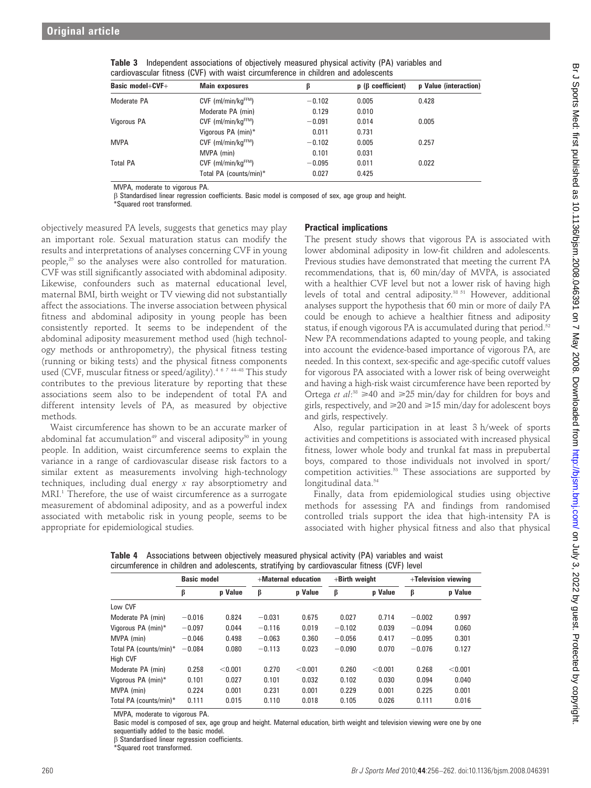| <b>Basic model+CVF+</b> | <b>Main exposures</b>             | β        | $p$ ( $\beta$ coefficient) | p Value (interaction) |  |
|-------------------------|-----------------------------------|----------|----------------------------|-----------------------|--|
| Moderate PA             | $CVF$ (ml/min/kg <sup>FFM</sup> ) | $-0.102$ | 0.005                      | 0.428                 |  |
|                         | Moderate PA (min)                 | 0.129    | 0.010                      |                       |  |
| Vigorous PA             | $CVF$ (ml/min/kg <sup>FFM</sup> ) | $-0.091$ | 0.014                      | 0.005                 |  |
|                         | Vigorous PA (min)*                | 0.011    | 0.731                      |                       |  |
| <b>MVPA</b>             | $CVF$ (ml/min/kg $FFM$ )          | $-0.102$ | 0.005                      | 0.257                 |  |
|                         | MVPA (min)                        | 0.101    | 0.031                      |                       |  |
| <b>Total PA</b>         | $CVF$ (ml/min/kg <sup>FFM</sup> ) | $-0.095$ | 0.011                      | 0.022                 |  |
|                         | Total PA (counts/min)*            | 0.027    | 0.425                      |                       |  |

Table 3 Independent associations of objectively measured physical activity (PA) variables and cardiovascular fitness (CVF) with waist circumference in children and adole

### Practical implications

Table 4 Associations between objectively measured physical activity (PA) variables and waist circumference in children and adolescents, stratifying by cardiovascular fitness (CVF) level

|          |                                                                                                                                                                                                                                                                                                                                                                                                                                                                                                                                                                                                                                                                                                                                                                                                                                                                                                                                                                                                                                                                                                                                                 |                    | <b>Main exposures</b>  |                        | β        |                                                           | $p$ ( $\beta$ coefficient) |          | p Value (interaction)  |                                                                                                                                                                                                                                                                                                                                                                                                                                                                                                                                                                                                                                                                                                                                                                                                                                                                                                                                                                                                                                                                                                                                                   |
|----------|-------------------------------------------------------------------------------------------------------------------------------------------------------------------------------------------------------------------------------------------------------------------------------------------------------------------------------------------------------------------------------------------------------------------------------------------------------------------------------------------------------------------------------------------------------------------------------------------------------------------------------------------------------------------------------------------------------------------------------------------------------------------------------------------------------------------------------------------------------------------------------------------------------------------------------------------------------------------------------------------------------------------------------------------------------------------------------------------------------------------------------------------------|--------------------|------------------------|------------------------|----------|-----------------------------------------------------------|----------------------------|----------|------------------------|---------------------------------------------------------------------------------------------------------------------------------------------------------------------------------------------------------------------------------------------------------------------------------------------------------------------------------------------------------------------------------------------------------------------------------------------------------------------------------------------------------------------------------------------------------------------------------------------------------------------------------------------------------------------------------------------------------------------------------------------------------------------------------------------------------------------------------------------------------------------------------------------------------------------------------------------------------------------------------------------------------------------------------------------------------------------------------------------------------------------------------------------------|
|          | Moderate PA                                                                                                                                                                                                                                                                                                                                                                                                                                                                                                                                                                                                                                                                                                                                                                                                                                                                                                                                                                                                                                                                                                                                     |                    | CVF (ml/min/kgFFM)     |                        | $-0.102$ |                                                           | 0.005                      | 0.428    |                        |                                                                                                                                                                                                                                                                                                                                                                                                                                                                                                                                                                                                                                                                                                                                                                                                                                                                                                                                                                                                                                                                                                                                                   |
|          |                                                                                                                                                                                                                                                                                                                                                                                                                                                                                                                                                                                                                                                                                                                                                                                                                                                                                                                                                                                                                                                                                                                                                 |                    | Moderate PA (min)      |                        | 0.129    |                                                           | 0.010                      |          |                        |                                                                                                                                                                                                                                                                                                                                                                                                                                                                                                                                                                                                                                                                                                                                                                                                                                                                                                                                                                                                                                                                                                                                                   |
|          | Vigorous PA                                                                                                                                                                                                                                                                                                                                                                                                                                                                                                                                                                                                                                                                                                                                                                                                                                                                                                                                                                                                                                                                                                                                     |                    | CVF (ml/min/kgFFM)     |                        | $-0.091$ |                                                           | 0.014                      | 0.005    |                        |                                                                                                                                                                                                                                                                                                                                                                                                                                                                                                                                                                                                                                                                                                                                                                                                                                                                                                                                                                                                                                                                                                                                                   |
|          |                                                                                                                                                                                                                                                                                                                                                                                                                                                                                                                                                                                                                                                                                                                                                                                                                                                                                                                                                                                                                                                                                                                                                 |                    | Vigorous PA (min)*     |                        | 0.011    |                                                           | 0.731                      |          |                        |                                                                                                                                                                                                                                                                                                                                                                                                                                                                                                                                                                                                                                                                                                                                                                                                                                                                                                                                                                                                                                                                                                                                                   |
|          | <b>MVPA</b>                                                                                                                                                                                                                                                                                                                                                                                                                                                                                                                                                                                                                                                                                                                                                                                                                                                                                                                                                                                                                                                                                                                                     |                    | CVF (ml/min/kgFFM)     |                        | $-0.102$ |                                                           | 0.005                      | 0.257    |                        |                                                                                                                                                                                                                                                                                                                                                                                                                                                                                                                                                                                                                                                                                                                                                                                                                                                                                                                                                                                                                                                                                                                                                   |
|          |                                                                                                                                                                                                                                                                                                                                                                                                                                                                                                                                                                                                                                                                                                                                                                                                                                                                                                                                                                                                                                                                                                                                                 |                    | MVPA (min)             |                        | 0.101    |                                                           | 0.031                      |          |                        |                                                                                                                                                                                                                                                                                                                                                                                                                                                                                                                                                                                                                                                                                                                                                                                                                                                                                                                                                                                                                                                                                                                                                   |
|          | <b>Total PA</b>                                                                                                                                                                                                                                                                                                                                                                                                                                                                                                                                                                                                                                                                                                                                                                                                                                                                                                                                                                                                                                                                                                                                 |                    | CVF (ml/min/kgFFM)     |                        | $-0.095$ |                                                           | 0.011                      | 0.022    |                        |                                                                                                                                                                                                                                                                                                                                                                                                                                                                                                                                                                                                                                                                                                                                                                                                                                                                                                                                                                                                                                                                                                                                                   |
|          |                                                                                                                                                                                                                                                                                                                                                                                                                                                                                                                                                                                                                                                                                                                                                                                                                                                                                                                                                                                                                                                                                                                                                 |                    | Total PA (counts/min)* |                        | 0.027    |                                                           | 0.425                      |          |                        |                                                                                                                                                                                                                                                                                                                                                                                                                                                                                                                                                                                                                                                                                                                                                                                                                                                                                                                                                                                                                                                                                                                                                   |
|          | MVPA, moderate to vigorous PA.<br>β Standardised linear regression coefficients. Basic model is composed of sex, age group and height.<br>*Squared root transformed.                                                                                                                                                                                                                                                                                                                                                                                                                                                                                                                                                                                                                                                                                                                                                                                                                                                                                                                                                                            |                    |                        |                        |          |                                                           |                            |          |                        |                                                                                                                                                                                                                                                                                                                                                                                                                                                                                                                                                                                                                                                                                                                                                                                                                                                                                                                                                                                                                                                                                                                                                   |
| methods. | objectively measured PA levels, suggests that genetics may play<br>an important role. Sexual maturation status can modify the<br>results and interpretations of analyses concerning CVF in young<br>people, $25$ so the analyses were also controlled for maturation.<br>CVF was still significantly associated with abdominal adiposity.<br>Likewise, confounders such as maternal educational level,<br>maternal BMI, birth weight or TV viewing did not substantially<br>affect the associations. The inverse association between physical<br>fitness and abdominal adiposity in young people has been<br>consistently reported. It seems to be independent of the<br>abdominal adiposity measurement method used (high technol-<br>ogy methods or anthropometry), the physical fitness testing<br>(running or biking tests) and the physical fitness components<br>used (CVF, muscular fitness or speed/agility). <sup>4674448</sup> This study<br>contributes to the previous literature by reporting that these<br>associations seem also to be independent of total PA and<br>different intensity levels of PA, as measured by objective |                    |                        |                        |          | <b>Practical implications</b><br>and girls, respectively. |                            |          |                        | The present study shows that vigorous PA is associated with<br>lower abdominal adiposity in low-fit children and adolescents.<br>Previous studies have demonstrated that meeting the current PA<br>recommendations, that is, 60 min/day of MVPA, is associated<br>with a healthier CVF level but not a lower risk of having high<br>levels of total and central adiposity. <sup>38 51</sup> However, additional<br>analyses support the hypothesis that 60 min or more of daily PA<br>could be enough to achieve a healthier fitness and adiposity<br>status, if enough vigorous PA is accumulated during that period. <sup>52</sup><br>New PA recommendations adapted to young people, and taking<br>into account the evidence-based importance of vigorous PA, are<br>needed. In this context, sex-specific and age-specific cutoff values<br>for vigorous PA associated with a lower risk of being overweight<br>and having a high-risk waist circumference have been reported by<br>Ortega et al: <sup>38</sup> $\geq$ 40 and $\geq$ 25 min/day for children for boys and<br>girls, respectively, and ≥20 and ≥15 min/day for adolescent boys |
|          | Waist circumference has shown to be an accurate marker of<br>abdominal fat accumulation <sup>49</sup> and visceral adiposity <sup>50</sup> in young<br>people. In addition, waist circumference seems to explain the<br>variance in a range of cardiovascular disease risk factors to a<br>similar extent as measurements involving high-technology                                                                                                                                                                                                                                                                                                                                                                                                                                                                                                                                                                                                                                                                                                                                                                                             |                    |                        |                        |          |                                                           |                            |          |                        | Also, regular participation in at least 3 h/week of sports<br>activities and competitions is associated with increased physical<br>fitness, lower whole body and trunkal fat mass in prepubertal<br>boys, compared to those individuals not involved in sport/<br>competition activities. <sup>53</sup> These associations are supported by                                                                                                                                                                                                                                                                                                                                                                                                                                                                                                                                                                                                                                                                                                                                                                                                       |
|          | techniques, including dual energy $x$ ray absorptiometry and<br>MRI. <sup>1</sup> Therefore, the use of waist circumference as a surrogate<br>measurement of abdominal adiposity, and as a powerful index<br>associated with metabolic risk in young people, seems to be<br>appropriate for epidemiological studies.                                                                                                                                                                                                                                                                                                                                                                                                                                                                                                                                                                                                                                                                                                                                                                                                                            |                    |                        |                        |          | longitudinal data. <sup>54</sup>                          |                            |          |                        | Finally, data from epidemiological studies using objective<br>methods for assessing PA and findings from randomised<br>controlled trials support the idea that high-intensity PA is<br>associated with higher physical fitness and also that physical                                                                                                                                                                                                                                                                                                                                                                                                                                                                                                                                                                                                                                                                                                                                                                                                                                                                                             |
|          | Table 4 Associations between objectively measured physical activity (PA) variables and waist<br>circumference in children and adolescents, stratifying by cardiovascular fitness (CVF) level                                                                                                                                                                                                                                                                                                                                                                                                                                                                                                                                                                                                                                                                                                                                                                                                                                                                                                                                                    |                    |                        |                        |          |                                                           |                            |          |                        |                                                                                                                                                                                                                                                                                                                                                                                                                                                                                                                                                                                                                                                                                                                                                                                                                                                                                                                                                                                                                                                                                                                                                   |
|          |                                                                                                                                                                                                                                                                                                                                                                                                                                                                                                                                                                                                                                                                                                                                                                                                                                                                                                                                                                                                                                                                                                                                                 | <b>Basic model</b> |                        | $+$ Maternal education |          | $+$ Birth weight                                          |                            |          | $+$ Television viewing |                                                                                                                                                                                                                                                                                                                                                                                                                                                                                                                                                                                                                                                                                                                                                                                                                                                                                                                                                                                                                                                                                                                                                   |
|          |                                                                                                                                                                                                                                                                                                                                                                                                                                                                                                                                                                                                                                                                                                                                                                                                                                                                                                                                                                                                                                                                                                                                                 | β                  | p Value                | β                      | p Value  | β                                                         | p Value                    | β        | p Value                |                                                                                                                                                                                                                                                                                                                                                                                                                                                                                                                                                                                                                                                                                                                                                                                                                                                                                                                                                                                                                                                                                                                                                   |
|          | Low CVF                                                                                                                                                                                                                                                                                                                                                                                                                                                                                                                                                                                                                                                                                                                                                                                                                                                                                                                                                                                                                                                                                                                                         |                    |                        |                        |          |                                                           |                            |          |                        |                                                                                                                                                                                                                                                                                                                                                                                                                                                                                                                                                                                                                                                                                                                                                                                                                                                                                                                                                                                                                                                                                                                                                   |
|          | Moderate PA (min)                                                                                                                                                                                                                                                                                                                                                                                                                                                                                                                                                                                                                                                                                                                                                                                                                                                                                                                                                                                                                                                                                                                               | $-0.016$           | 0.824                  | $-0.031$               | 0.675    | 0.027                                                     | 0.714                      | $-0.002$ | 0.997                  |                                                                                                                                                                                                                                                                                                                                                                                                                                                                                                                                                                                                                                                                                                                                                                                                                                                                                                                                                                                                                                                                                                                                                   |
|          | Vigorous PA (min)*                                                                                                                                                                                                                                                                                                                                                                                                                                                                                                                                                                                                                                                                                                                                                                                                                                                                                                                                                                                                                                                                                                                              | $-0.097$           | 0.044                  | $-0.116$               | 0.019    | $-0.102$                                                  | 0.039                      | $-0.094$ | 0.060                  |                                                                                                                                                                                                                                                                                                                                                                                                                                                                                                                                                                                                                                                                                                                                                                                                                                                                                                                                                                                                                                                                                                                                                   |
|          | MVPA (min)                                                                                                                                                                                                                                                                                                                                                                                                                                                                                                                                                                                                                                                                                                                                                                                                                                                                                                                                                                                                                                                                                                                                      | $-0.046$           | 0.498                  | $-0.063$               | 0.360    | $-0.056$                                                  | 0.417                      | $-0.095$ | 0.301                  |                                                                                                                                                                                                                                                                                                                                                                                                                                                                                                                                                                                                                                                                                                                                                                                                                                                                                                                                                                                                                                                                                                                                                   |
|          | Total PA (counts/min)*                                                                                                                                                                                                                                                                                                                                                                                                                                                                                                                                                                                                                                                                                                                                                                                                                                                                                                                                                                                                                                                                                                                          | $-0.084$           | 0.080                  | $-0.113$               | 0.023    | $-0.090$                                                  | 0.070                      | $-0.076$ | 0.127                  |                                                                                                                                                                                                                                                                                                                                                                                                                                                                                                                                                                                                                                                                                                                                                                                                                                                                                                                                                                                                                                                                                                                                                   |
|          | High CVF                                                                                                                                                                                                                                                                                                                                                                                                                                                                                                                                                                                                                                                                                                                                                                                                                                                                                                                                                                                                                                                                                                                                        |                    |                        |                        |          |                                                           |                            |          |                        |                                                                                                                                                                                                                                                                                                                                                                                                                                                                                                                                                                                                                                                                                                                                                                                                                                                                                                                                                                                                                                                                                                                                                   |
|          | Moderate PA (min)                                                                                                                                                                                                                                                                                                                                                                                                                                                                                                                                                                                                                                                                                                                                                                                                                                                                                                                                                                                                                                                                                                                               | 0.258              | < 0.001                | 0.270                  | < 0.001  | 0.260                                                     | < 0.001                    | 0.268    | < 0.001                |                                                                                                                                                                                                                                                                                                                                                                                                                                                                                                                                                                                                                                                                                                                                                                                                                                                                                                                                                                                                                                                                                                                                                   |
|          | Vigorous PA (min)*                                                                                                                                                                                                                                                                                                                                                                                                                                                                                                                                                                                                                                                                                                                                                                                                                                                                                                                                                                                                                                                                                                                              | 0.101              | 0.027                  | 0.101                  | 0.032    | 0.102                                                     | 0.030                      | 0.094    | 0.040                  |                                                                                                                                                                                                                                                                                                                                                                                                                                                                                                                                                                                                                                                                                                                                                                                                                                                                                                                                                                                                                                                                                                                                                   |
|          | MVPA (min)                                                                                                                                                                                                                                                                                                                                                                                                                                                                                                                                                                                                                                                                                                                                                                                                                                                                                                                                                                                                                                                                                                                                      | 0.224              | 0.001                  | 0.231                  | 0.001    | 0.229                                                     | 0.001                      | 0.225    | 0.001                  |                                                                                                                                                                                                                                                                                                                                                                                                                                                                                                                                                                                                                                                                                                                                                                                                                                                                                                                                                                                                                                                                                                                                                   |
|          | Total PA (counts/min)*                                                                                                                                                                                                                                                                                                                                                                                                                                                                                                                                                                                                                                                                                                                                                                                                                                                                                                                                                                                                                                                                                                                          | 0.111              | 0.015                  | 0.110                  | 0.018    | 0.105                                                     | 0.026                      | 0.111    | 0.016                  |                                                                                                                                                                                                                                                                                                                                                                                                                                                                                                                                                                                                                                                                                                                                                                                                                                                                                                                                                                                                                                                                                                                                                   |
|          | MVPA, moderate to vigorous PA.<br>Basic model is composed of sex, age group and height. Maternal education, birth weight and television viewing were one by one<br>sequentially added to the basic model.<br>$\beta$ Standardised linear regression coefficients.<br>*Squared root transformed.                                                                                                                                                                                                                                                                                                                                                                                                                                                                                                                                                                                                                                                                                                                                                                                                                                                 |                    |                        |                        |          |                                                           |                            |          |                        |                                                                                                                                                                                                                                                                                                                                                                                                                                                                                                                                                                                                                                                                                                                                                                                                                                                                                                                                                                                                                                                                                                                                                   |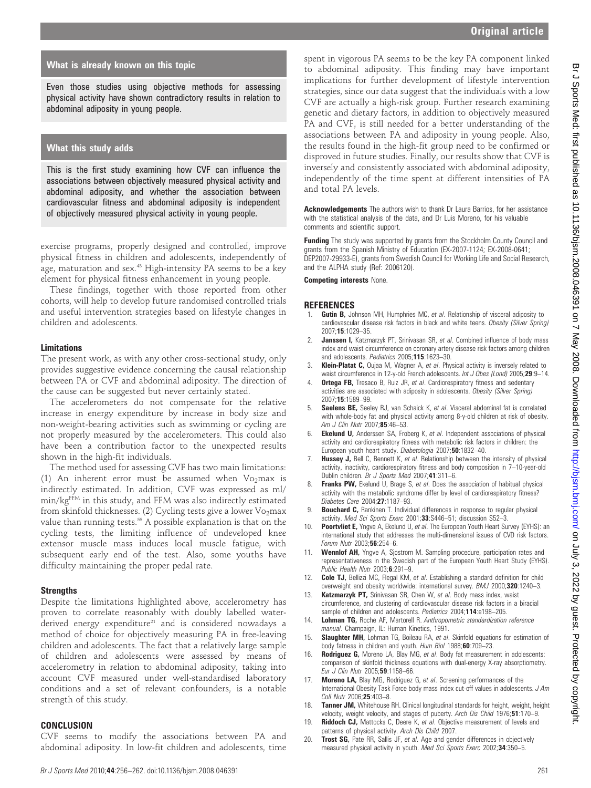#### What is already known on this topic

Even those studies using objective methods for assessing physical activity have shown contradictory results in relation to abdominal adiposity in young people.

#### What this study adds

This is the first study examining how CVF can influence the associations between objectively measured physical activity and abdominal adiposity, and whether the association between cardiovascular fitness and abdominal adiposity is independent

exercise programs, properly designed and controlled, improve physical fitness in children and adolescents, independently of age, maturation and sex.<sup>43</sup> High-intensity PA seems to be a key element for physical fitness enhancement in young people.

These findings, together with those reported from other cohorts, will help to develop future randomised controlled trials and useful intervention strategies based on lifestyle changes in children and adolescents.

### Limitations

The present work, as with any other cross-sectional study, only provides suggestive evidence concerning the causal relationship between PA or CVF and abdominal adiposity. The direction of the cause can be suggested but never certainly stated.

The accelerometers do not compensate for the relative increase in energy expenditure by increase in body size and non-weight-bearing activities such as swimming or cycling are not properly measured by the accelerometers. This could also have been a contribution factor to the unexpected results shown in the high-fit individuals.

The method used for assessing CVF has two main limitations: (1) An inherent error must be assumed when  $Vo<sub>2</sub>$ max is indirectly estimated. In addition, CVF was expressed as ml/ min/kgFFM in this study, and FFM was also indirectly estimated from skinfold thicknesses. (2) Cycling tests give a lower  $Vo<sub>2</sub>$ max value than running tests.<sup>55</sup> A possible explanation is that on the cycling tests, the limiting influence of undeveloped knee extensor muscle mass induces local muscle fatigue, with subsequent early end of the test. Also, some youths have difficulty maintaining the proper pedal rate.

#### **Strengths**

Despite the limitations highlighted above, accelerometry has proven to correlate reasonably with doubly labelled waterderived energy expenditure<sup>21</sup> and is considered nowadays a method of choice for objectively measuring PA in free-leaving children and adolescents. The fact that a relatively large sample of children and adolescents were assessed by means of accelerometry in relation to abdominal adiposity, taking into account CVF measured under well-standardised laboratory conditions and a set of relevant confounders, is a notable strength of this study.

## **CONCLUSION**

CVF seems to modify the associations between PA and abdominal adiposity. In low-fit children and adolescents, time

*Br J Sports Med* 2010;**44**:256–262. doi:10.1136/bjsm.2008.046391 261

spent in vigorous PA seems to be the key PA component linked to abdominal adiposity. This finding may have important implications for further development of lifestyle intervention strategies, since our data suggest that the individuals with a low CVF are actually a high-risk group. Further research examining genetic and dietary factors, in addition to objectively measured PA and CVF, is still needed for a better understanding of the associations between PA and adiposity in young people. Also, the results found in the high-fit group need to be confirmed or disproved in future studies. Finally, our results show that CVF is inversely and consistently associated with abdominal adiposity, independently of the time spent at different intensities of PA and total PA levels. One of the smaller and the smaller and the smaller and the smaller and the smaller and the smaller and the smaller and the smaller and the smaller and the smaller and the smaller and the smaller and the smaller and the sm

with the statistical analysis of the data, and Dr Luis Moreno, for his valuable comments and scientific support. of objectively measured physical activity in young people.<br>
Acknowledgements The authors wish to thank Dr Laura Barrios, for her assistance<br>
with the statistical applies of the data and Dr Luis Marga for his valueble.

> grants from the Spanish Ministry of Education (EX-2007-1124; EX-2008-0641; DEP2007-29933-E), grants from Swedish Council for Working Life and Social Research, and the ALPHA study (Ref: 2006120). Funding The study was supported by grants from the Stockholm County Council and

Competing interests None.

#### **REFERENCES**

- Gutin B, Johnson MH, Humphries MC, et al. Relationship of visceral adiposity to cardiovascular disease risk factors in black and white teens. Obesity (Silver Spring) 2007;15:1029–35.
- 2. Janssen I, Katzmarzyk PT, Srinivasan SR, et al. Combined influence of body mass index and waist circumference on coronary artery disease risk factors among children and adolescents. Pediatrics 2005;115:1623–30.
- 3. **Klein-Platat C,** Oujaa M, Wagner A, et al. Physical activity is inversely related to waist circumference in 12-y-old French adolescents. Int J Obes (Lond) 2005;29:9-14.
- 4. **Ortega FB,** Tresaco B, Ruiz JR, et al. Cardiorespiratory fitness and sedentary activities are associated with adiposity in adolescents. Obesity (Silver Spring) 2007;15:1589–99.
- 5. Saelens BE, Seeley RJ, van Schaick K, et al. Visceral abdominal fat is correlated with whole-body fat and physical activity among 8-y-old children at risk of obesity. Am J Clin Nutr 2007;85:46-53.
- 6. Ekelund U, Anderssen SA, Froberg K, et al. Independent associations of physical activity and cardiorespiratory fitness with metabolic risk factors in children: the European youth heart study. Diabetologia 2007;50:1832–40.
- 7. Hussey J, Bell C, Bennett K, et al. Relationship between the intensity of physical activity, inactivity, cardiorespiratory fitness and body composition in 7–10-year-old Dublin children. Br J Sports Med 2007;41:311–6.
- 8. Franks PW, Ekelund U, Brage S, et al. Does the association of habitual physical activity with the metabolic syndrome differ by level of cardiorespiratory fitness? Diabetes Care 2004;27:1187–93.
- 9. **Bouchard C,** Rankinen T. Individual differences in response to regular physical activity. Med Sci Sports Exerc 2001;33:S446–51; discussion S52–3.
- 10. Poortvliet E, Yngve A, Ekelund U, et al. The European Youth Heart Survey (EYHS): an international study that addresses the multi-dimensional issues of CVD risk factors. Forum Nutr 2003;56:254–6.
- 11. Wennlof AH, Yngve A, Sjostrom M. Sampling procedure, participation rates and representativeness in the Swedish part of the European Youth Heart Study (EYHS). Public Health Nutr 2003;6:291-9.
- 12. Cole TJ, Bellizzi MC, Flegal KM, et al. Establishing a standard definition for child overweight and obesity worldwide: international survey. BMJ 2000;320:1240-3.
- 13. Katzmarzyk PT, Srinivasan SR, Chen W, et al. Body mass index, waist circumference, and clustering of cardiovascular disease risk factors in a biracial sample of children and adolescents. Pediatrics 2004;114:e198–205.
- 14. Lohman TG, Roche AF, Martorell R. Anthropometric standardization reference manual. Champaign, IL: Human Kinetics, 1991.
- 15. Slaughter MH, Lohman TG, Boileau RA, et al. Skinfold equations for estimation of body fatness in children and youth. Hum Biol 1988;60:709-23.
- 16. Rodriguez G, Moreno LA, Blay MG, et al. Body fat measurement in adolescents: comparison of skinfold thickness equations with dual-energy X-ray absorptiometry. Eur J Clin Nutr 2005;59:1158–66.
- 17. Moreno LA, Blay MG, Rodriguez G, et al. Screening performances of the International Obesity Task Force body mass index cut-off values in adolescents. J Am Coll Nutr 2006;25:403–8.
- 18. Tanner JM, Whitehouse RH. Clinical longitudinal standards for height, weight, height velocity, weight velocity, and stages of puberty. Arch Dis Child 1976;51:170-9.
- 19. Riddoch CJ, Mattocks C, Deere K, et al. Objective measurement of levels and patterns of physical activity. Arch Dis Child 2007.
- 20. Trost SG, Pate RR, Sallis JF, et al. Age and gender differences in objectively measured physical activity in youth. Med Sci Sports Exerc 2002;34:350-5.